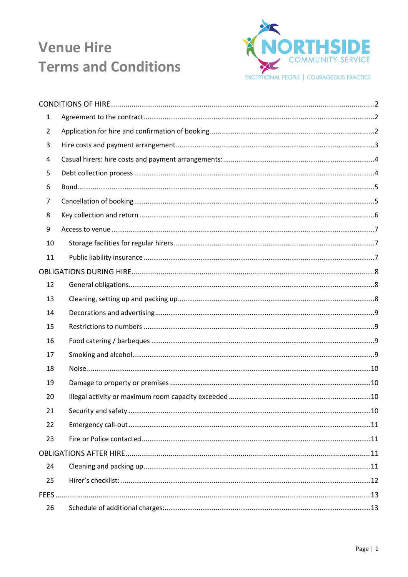

| 1              |  |
|----------------|--|
| $\overline{2}$ |  |
| 3              |  |
| 4              |  |
| 5              |  |
| 6              |  |
| 7              |  |
| 8              |  |
| 9              |  |
| 10             |  |
| 11             |  |
|                |  |
| 12             |  |
| 13             |  |
| 14             |  |
| 15             |  |
| 16             |  |
| 17             |  |
| 18             |  |
| 19             |  |
| 20             |  |
| 21             |  |
| 22             |  |
| 23             |  |
|                |  |
| 24             |  |
| 25             |  |
| <b>FEES</b>    |  |
| 26             |  |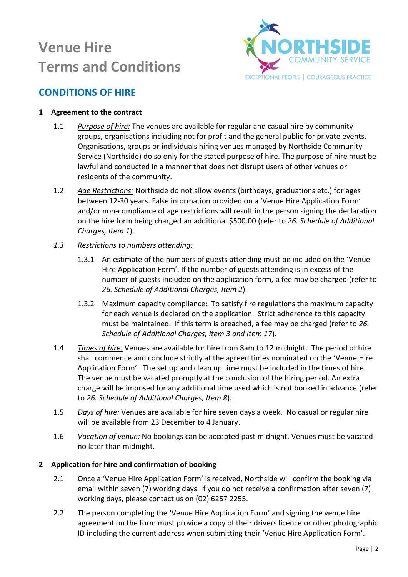

## <span id="page-1-0"></span>**CONDITIONS OF HIRE**

### <span id="page-1-1"></span>**1 Agreement to the contract**

- 1.1 *Purpose of hire:* The venues are available for regular and casual hire by community groups, organisations including not for profit and the general public for private events. Organisations, groups or individuals hiring venues managed by Northside Community Service (Northside) do so only for the stated purpose of hire. The purpose of hire must be lawful and conducted in a manner that does not disrupt users of other venues or residents of the community.
- 1.2 *Age Restrictions:* Northside do not allow events (birthdays, graduations etc.) for ages between 12-30 years. False information provided on a 'Venue Hire Application Form' and/or non-compliance of age restrictions will result in the person signing the declaration on the hire form being charged an additional \$500.00 (refer to *26. Schedule of Additional Charges, Item 1*).
- *1.3 Restrictions to numbers attending:*
	- 1.3.1 An estimate of the numbers of guests attending must be included on the 'Venue Hire Application Form'. If the number of guests attending is in excess of the number of guests included on the application form, a fee may be charged (refer to *26. Schedule of Additional Charges, Item 2*).
	- 1.3.2 Maximum capacity compliance: To satisfy fire regulations the maximum capacity for each venue is declared on the application. Strict adherence to this capacity must be maintained. If this term is breached, a fee may be charged (refer to *26. Schedule of Additional Charges, Item 3 and Item 17*).
- 1.4 *Times of hire:* Venues are available for hire from 8am to 12 midnight. The period of hire shall commence and conclude strictly at the agreed times nominated on the 'Venue Hire Application Form'. The set up and clean up time must be included in the times of hire. The venue must be vacated promptly at the conclusion of the hiring period. An extra charge will be imposed for any additional time used which is not booked in advance (refer to *26. Schedule of Additional Charges, Item 8*).
- 1.5 *Days of hire:* Venues are available for hire seven days a week. No casual or regular hire will be available from 23 December to 4 January.
- 1.6 *Vacation of venue:* No bookings can be accepted past midnight. Venues must be vacated no later than midnight.

### <span id="page-1-2"></span>**2 Application for hire and confirmation of booking**

- 2.1 Once a 'Venue Hire Application Form' is received, Northside will confirm the booking via email within seven (7) working days. If you do not receive a confirmation after seven (7) working days, please contact us on (02) 6257 2255.
- 2.2 The person completing the 'Venue Hire Application Form' and signing the venue hire agreement on the form must provide a copy of their drivers licence or other photographic ID including the current address when submitting their 'Venue Hire Application Form'.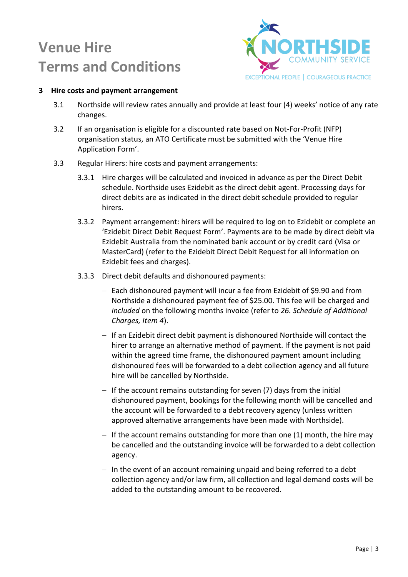

### <span id="page-2-0"></span>**3 Hire costs and payment arrangement**

- 3.1 Northside will review rates annually and provide at least four (4) weeks' notice of any rate changes.
- 3.2 If an organisation is eligible for a discounted rate based on Not-For-Profit (NFP) organisation status, an ATO Certificate must be submitted with the 'Venue Hire Application Form'.
- 3.3 Regular Hirers: hire costs and payment arrangements:
	- 3.3.1 Hire charges will be calculated and invoiced in advance as per the Direct Debit schedule. Northside uses Ezidebit as the direct debit agent. Processing days for direct debits are as indicated in the direct debit schedule provided to regular hirers.
	- 3.3.2 Payment arrangement: hirers will be required to log on to Ezidebit or complete an 'Ezidebit Direct Debit Request Form'. Payments are to be made by direct debit via Ezidebit Australia from the nominated bank account or by credit card (Visa or MasterCard) (refer to the Ezidebit Direct Debit Request for all information on Ezidebit fees and charges).
	- 3.3.3 Direct debit defaults and dishonoured payments:
		- Each dishonoured payment will incur a fee from Ezidebit of \$9.90 and from Northside a dishonoured payment fee of \$25.00. This fee will be charged and *included* on the following months invoice (refer to *26. Schedule of Additional Charges, Item 4*).
		- If an Ezidebit direct debit payment is dishonoured Northside will contact the hirer to arrange an alternative method of payment. If the payment is not paid within the agreed time frame, the dishonoured payment amount including dishonoured fees will be forwarded to a debt collection agency and all future hire will be cancelled by Northside.
		- $-I$  If the account remains outstanding for seven (7) days from the initial dishonoured payment, bookings for the following month will be cancelled and the account will be forwarded to a debt recovery agency (unless written approved alternative arrangements have been made with Northside).
		- $-$  If the account remains outstanding for more than one (1) month, the hire may be cancelled and the outstanding invoice will be forwarded to a debt collection agency.
		- $-$  In the event of an account remaining unpaid and being referred to a debt collection agency and/or law firm, all collection and legal demand costs will be added to the outstanding amount to be recovered.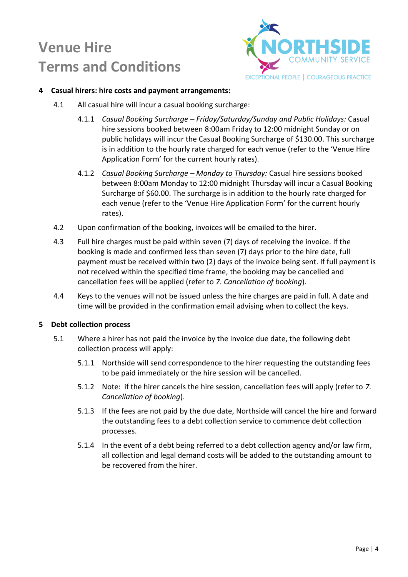

#### <span id="page-3-0"></span>**4 Casual hirers: hire costs and payment arrangements:**

- 4.1 All casual hire will incur a casual booking surcharge:
	- 4.1.1 *Casual Booking Surcharge – Friday/Saturday/Sunday and Public Holidays:* Casual hire sessions booked between 8:00am Friday to 12:00 midnight Sunday or on public holidays will incur the Casual Booking Surcharge of \$130.00. This surcharge is in addition to the hourly rate charged for each venue (refer to the 'Venue Hire Application Form' for the current hourly rates).
	- 4.1.2 *Casual Booking Surcharge – Monday to Thursday:* Casual hire sessions booked between 8:00am Monday to 12:00 midnight Thursday will incur a Casual Booking Surcharge of \$60.00. The surcharge is in addition to the hourly rate charged for each venue (refer to the 'Venue Hire Application Form' for the current hourly rates).
- 4.2 Upon confirmation of the booking, invoices will be emailed to the hirer.
- 4.3 Full hire charges must be paid within seven (7) days of receiving the invoice. If the booking is made and confirmed less than seven (7) days prior to the hire date, full payment must be received within two (2) days of the invoice being sent. If full payment is not received within the specified time frame, the booking may be cancelled and cancellation fees will be applied (refer to *7. Cancellation of booking*).
- 4.4 Keys to the venues will not be issued unless the hire charges are paid in full. A date and time will be provided in the confirmation email advising when to collect the keys.

#### <span id="page-3-1"></span>**5 Debt collection process**

- 5.1 Where a hirer has not paid the invoice by the invoice due date, the following debt collection process will apply:
	- 5.1.1 Northside will send correspondence to the hirer requesting the outstanding fees to be paid immediately or the hire session will be cancelled.
	- 5.1.2 Note: if the hirer cancels the hire session, cancellation fees will apply (refer to *7. Cancellation of booking*).
	- 5.1.3 If the fees are not paid by the due date, Northside will cancel the hire and forward the outstanding fees to a debt collection service to commence debt collection processes.
	- 5.1.4 In the event of a debt being referred to a debt collection agency and/or law firm, all collection and legal demand costs will be added to the outstanding amount to be recovered from the hirer.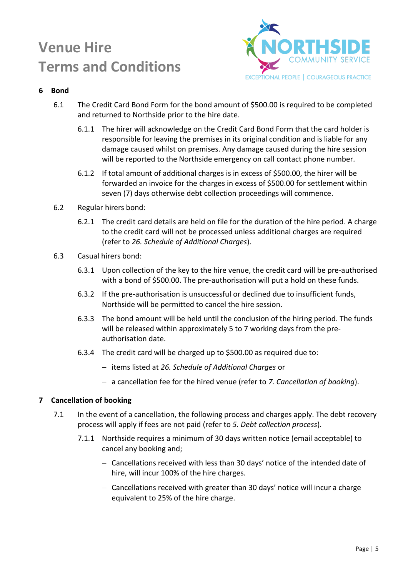

### <span id="page-4-0"></span>**6 Bond**

- 6.1 The Credit Card Bond Form for the bond amount of \$500.00 is required to be completed and returned to Northside prior to the hire date.
	- 6.1.1 The hirer will acknowledge on the Credit Card Bond Form that the card holder is responsible for leaving the premises in its original condition and is liable for any damage caused whilst on premises. Any damage caused during the hire session will be reported to the Northside emergency on call contact phone number.
	- 6.1.2 If total amount of additional charges is in excess of \$500.00, the hirer will be forwarded an invoice for the charges in excess of \$500.00 for settlement within seven (7) days otherwise debt collection proceedings will commence.
- 6.2 Regular hirers bond:
	- 6.2.1 The credit card details are held on file for the duration of the hire period. A charge to the credit card will not be processed unless additional charges are required (refer to *26. Schedule of Additional Charges*).
- 6.3 Casual hirers bond:
	- 6.3.1 Upon collection of the key to the hire venue, the credit card will be pre-authorised with a bond of \$500.00. The pre-authorisation will put a hold on these funds.
	- 6.3.2 If the pre-authorisation is unsuccessful or declined due to insufficient funds, Northside will be permitted to cancel the hire session.
	- 6.3.3 The bond amount will be held until the conclusion of the hiring period. The funds will be released within approximately 5 to 7 working days from the preauthorisation date.
	- 6.3.4 The credit card will be charged up to \$500.00 as required due to:
		- items listed at *26. Schedule of Additional Charges* or
		- a cancellation fee for the hired venue (refer to *7. Cancellation of booking*).

### <span id="page-4-1"></span>**7 Cancellation of booking**

- 7.1 In the event of a cancellation, the following process and charges apply. The debt recovery process will apply if fees are not paid (refer to *5. Debt collection process*).
	- 7.1.1 Northside requires a minimum of 30 days written notice (email acceptable) to cancel any booking and;
		- Cancellations received with less than 30 days' notice of the intended date of hire, will incur 100% of the hire charges.
		- Cancellations received with greater than 30 days' notice will incur a charge equivalent to 25% of the hire charge.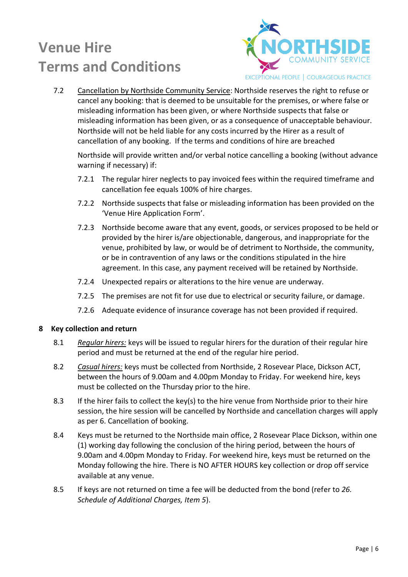

7.2 Cancellation by Northside Community Service: Northside reserves the right to refuse or cancel any booking: that is deemed to be unsuitable for the premises, or where false or misleading information has been given, or where Northside suspects that false or misleading information has been given, or as a consequence of unacceptable behaviour. Northside will not be held liable for any costs incurred by the Hirer as a result of cancellation of any booking. If the terms and conditions of hire are breached

Northside will provide written and/or verbal notice cancelling a booking (without advance warning if necessary) if:

- 7.2.1 The regular hirer neglects to pay invoiced fees within the required timeframe and cancellation fee equals 100% of hire charges.
- 7.2.2 Northside suspects that false or misleading information has been provided on the 'Venue Hire Application Form'.
- 7.2.3 Northside become aware that any event, goods, or services proposed to be held or provided by the hirer is/are objectionable, dangerous, and inappropriate for the venue, prohibited by law, or would be of detriment to Northside, the community, or be in contravention of any laws or the conditions stipulated in the hire agreement. In this case, any payment received will be retained by Northside.
- 7.2.4 Unexpected repairs or alterations to the hire venue are underway.
- 7.2.5 The premises are not fit for use due to electrical or security failure, or damage.
- 7.2.6 Adequate evidence of insurance coverage has not been provided if required.

### <span id="page-5-0"></span>**8 Key collection and return**

- 8.1 *Regular hirers:* keys will be issued to regular hirers for the duration of their regular hire period and must be returned at the end of the regular hire period.
- 8.2 *Casual hirers:* keys must be collected from Northside, 2 Rosevear Place, Dickson ACT, between the hours of 9.00am and 4.00pm Monday to Friday. For weekend hire, keys must be collected on the Thursday prior to the hire.
- 8.3 If the hirer fails to collect the key(s) to the hire venue from Northside prior to their hire session, the hire session will be cancelled by Northside and cancellation charges will apply as per 6. Cancellation of booking.
- 8.4 Keys must be returned to the Northside main office, 2 Rosevear Place Dickson, within one (1) working day following the conclusion of the hiring period, between the hours of 9.00am and 4.00pm Monday to Friday. For weekend hire, keys must be returned on the Monday following the hire. There is NO AFTER HOURS key collection or drop off service available at any venue.
- 8.5 If keys are not returned on time a fee will be deducted from the bond (refer to *26. Schedule of Additional Charges, Item 5*).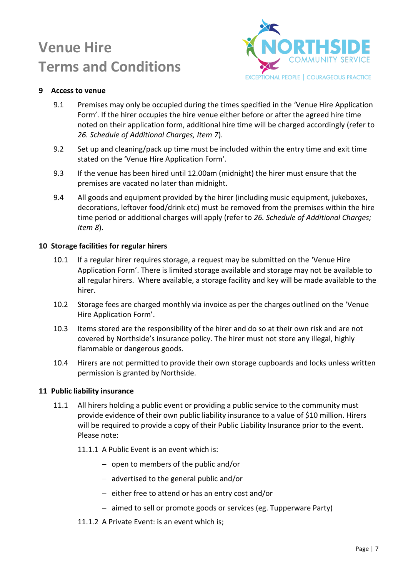

### <span id="page-6-0"></span>**9 Access to venue**

- 9.1 Premises may only be occupied during the times specified in the 'Venue Hire Application Form'. If the hirer occupies the hire venue either before or after the agreed hire time noted on their application form, additional hire time will be charged accordingly (refer to *26. Schedule of Additional Charges, Item 7*).
- 9.2 Set up and cleaning/pack up time must be included within the entry time and exit time stated on the 'Venue Hire Application Form'.
- 9.3 If the venue has been hired until 12.00am (midnight) the hirer must ensure that the premises are vacated no later than midnight.
- 9.4 All goods and equipment provided by the hirer (including music equipment, jukeboxes, decorations, leftover food/drink etc) must be removed from the premises within the hire time period or additional charges will apply (refer to *26. Schedule of Additional Charges; Item 8*).

#### <span id="page-6-1"></span>**10 Storage facilities for regular hirers**

- 10.1 If a regular hirer requires storage, a request may be submitted on the 'Venue Hire Application Form'. There is limited storage available and storage may not be available to all regular hirers. Where available, a storage facility and key will be made available to the hirer.
- 10.2 Storage fees are charged monthly via invoice as per the charges outlined on the 'Venue Hire Application Form'.
- 10.3 Items stored are the responsibility of the hirer and do so at their own risk and are not covered by Northside's insurance policy. The hirer must not store any illegal, highly flammable or dangerous goods.
- 10.4 Hirers are not permitted to provide their own storage cupboards and locks unless written permission is granted by Northside.

#### <span id="page-6-2"></span>**11 Public liability insurance**

- 11.1 All hirers holding a public event or providing a public service to the community must provide evidence of their own public liability insurance to a value of \$10 million. Hirers will be required to provide a copy of their Public Liability Insurance prior to the event. Please note:
	- 11.1.1 A Public Event is an event which is:
		- $-$  open to members of the public and/or
		- advertised to the general public and/or
		- $e$  either free to attend or has an entry cost and/or
		- aimed to sell or promote goods or services (eg. Tupperware Party)
	- 11.1.2 A Private Event: is an event which is;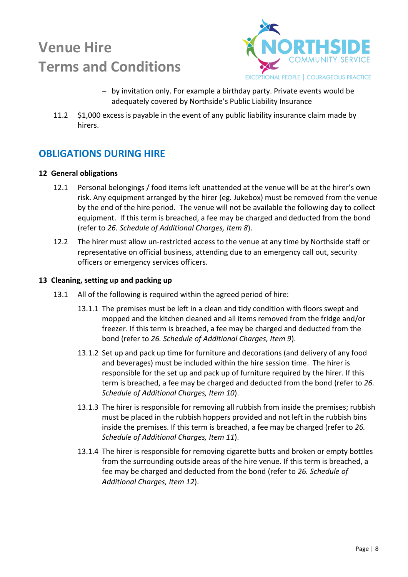

- by invitation only. For example a birthday party. Private events would be adequately covered by Northside's Public Liability Insurance
- 11.2 \$1,000 excess is payable in the event of any public liability insurance claim made by hirers.

## <span id="page-7-0"></span>**OBLIGATIONS DURING HIRE**

### <span id="page-7-1"></span>**12 General obligations**

- 12.1 Personal belongings / food items left unattended at the venue will be at the hirer's own risk. Any equipment arranged by the hirer (eg. Jukebox) must be removed from the venue by the end of the hire period. The venue will not be available the following day to collect equipment. If this term is breached, a fee may be charged and deducted from the bond (refer to *26. Schedule of Additional Charges, Item 8*).
- 12.2 The hirer must allow un-restricted access to the venue at any time by Northside staff or representative on official business, attending due to an emergency call out, security officers or emergency services officers.

#### <span id="page-7-2"></span>**13 Cleaning, setting up and packing up**

- 13.1 All of the following is required within the agreed period of hire:
	- 13.1.1 The premises must be left in a clean and tidy condition with floors swept and mopped and the kitchen cleaned and all items removed from the fridge and/or freezer. If this term is breached, a fee may be charged and deducted from the bond (refer to *26. Schedule of Additional Charges, Item 9*).
	- 13.1.2 Set up and pack up time for furniture and decorations (and delivery of any food and beverages) must be included within the hire session time. The hirer is responsible for the set up and pack up of furniture required by the hirer. If this term is breached, a fee may be charged and deducted from the bond (refer to *26. Schedule of Additional Charges, Item 10*).
	- 13.1.3 The hirer is responsible for removing all rubbish from inside the premises; rubbish must be placed in the rubbish hoppers provided and not left in the rubbish bins inside the premises. If this term is breached, a fee may be charged (refer to *26. Schedule of Additional Charges, Item 11*).
	- 13.1.4 The hirer is responsible for removing cigarette butts and broken or empty bottles from the surrounding outside areas of the hire venue. If this term is breached, a fee may be charged and deducted from the bond (refer to *26. Schedule of Additional Charges, Item 12*).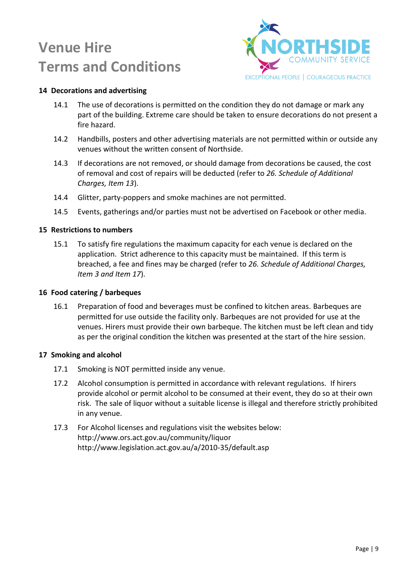

### <span id="page-8-0"></span>**14 Decorations and advertising**

- 14.1 The use of decorations is permitted on the condition they do not damage or mark any part of the building. Extreme care should be taken to ensure decorations do not present a fire hazard.
- 14.2 Handbills, posters and other advertising materials are not permitted within or outside any venues without the written consent of Northside.
- 14.3 If decorations are not removed, or should damage from decorations be caused, the cost of removal and cost of repairs will be deducted (refer to *26. Schedule of Additional Charges, Item 13*).
- 14.4 Glitter, party-poppers and smoke machines are not permitted.
- 14.5 Events, gatherings and/or parties must not be advertised on Facebook or other media.

#### <span id="page-8-1"></span>**15 Restrictions to numbers**

15.1 To satisfy fire regulations the maximum capacity for each venue is declared on the application. Strict adherence to this capacity must be maintained. If this term is breached, a fee and fines may be charged (refer to *26. Schedule of Additional Charges, Item 3 and Item 17*).

#### <span id="page-8-2"></span>**16 Food catering / barbeques**

16.1 Preparation of food and beverages must be confined to kitchen areas. Barbeques are permitted for use outside the facility only. Barbeques are not provided for use at the venues. Hirers must provide their own barbeque. The kitchen must be left clean and tidy as per the original condition the kitchen was presented at the start of the hire session.

#### <span id="page-8-3"></span>**17 Smoking and alcohol**

- 17.1 Smoking is NOT permitted inside any venue.
- 17.2 Alcohol consumption is permitted in accordance with relevant regulations. If hirers provide alcohol or permit alcohol to be consumed at their event, they do so at their own risk. The sale of liquor without a suitable license is illegal and therefore strictly prohibited in any venue.
- 17.3 For Alcohol licenses and regulations visit the websites below: <http://www.ors.act.gov.au/community/liquor> <http://www.legislation.act.gov.au/a/2010-35/default.asp>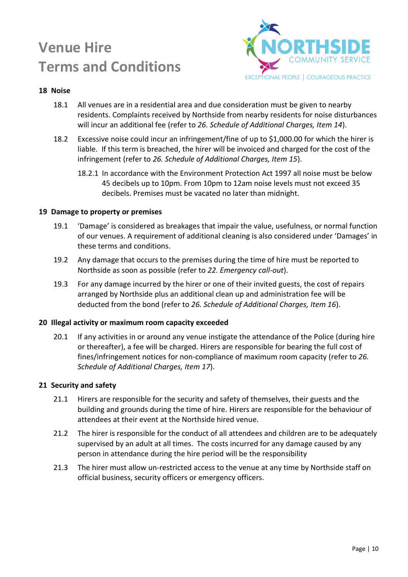

### <span id="page-9-0"></span>**18 Noise**

- 18.1 All venues are in a residential area and due consideration must be given to nearby residents. Complaints received by Northside from nearby residents for noise disturbances will incur an additional fee (refer to *26. Schedule of Additional Charges, Item 14*).
- 18.2 Excessive noise could incur an infringement/fine of up to \$1,000.00 for which the hirer is liable. If this term is breached, the hirer will be invoiced and charged for the cost of the infringement (refer to *26. Schedule of Additional Charges, Item 15*).
	- 18.2.1 In accordance with the Environment Protection Act 1997 all noise must be below 45 decibels up to 10pm. From 10pm to 12am noise levels must not exceed 35 decibels. Premises must be vacated no later than midnight.

#### <span id="page-9-1"></span>**19 Damage to property or premises**

- 19.1 'Damage' is considered as breakages that impair the value, usefulness, or normal function of our venues. A requirement of additional cleaning is also considered under 'Damages' in these terms and conditions.
- 19.2 Any damage that occurs to the premises during the time of hire must be reported to Northside as soon as possible (refer to *22. Emergency call-out*).
- 19.3 For any damage incurred by the hirer or one of their invited guests, the cost of repairs arranged by Northside plus an additional clean up and administration fee will be deducted from the bond (refer to *26. Schedule of Additional Charges, Item 16*).

#### <span id="page-9-2"></span>**20 Illegal activity or maximum room capacity exceeded**

20.1 If any activities in or around any venue instigate the attendance of the Police (during hire or thereafter), a fee will be charged. Hirers are responsible for bearing the full cost of fines/infringement notices for non-compliance of maximum room capacity (refer to *26. Schedule of Additional Charges, Item 17*).

#### <span id="page-9-3"></span>**21 Security and safety**

- 21.1 Hirers are responsible for the security and safety of themselves, their guests and the building and grounds during the time of hire. Hirers are responsible for the behaviour of attendees at their event at the Northside hired venue.
- 21.2 The hirer is responsible for the conduct of all attendees and children are to be adequately supervised by an adult at all times. The costs incurred for any damage caused by any person in attendance during the hire period will be the responsibility
- 21.3 The hirer must allow un-restricted access to the venue at any time by Northside staff on official business, security officers or emergency officers.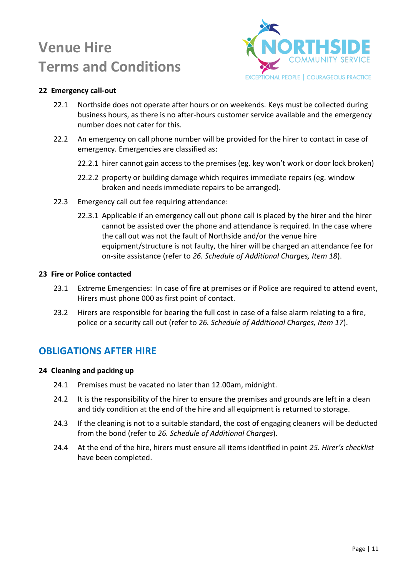

### <span id="page-10-0"></span>**22 Emergency call-out**

- 22.1 Northside does not operate after hours or on weekends. Keys must be collected during business hours, as there is no after-hours customer service available and the emergency number does not cater for this.
- 22.2 An emergency on call phone number will be provided for the hirer to contact in case of emergency. Emergencies are classified as:
	- 22.2.1 hirer cannot gain access to the premises (eg. key won't work or door lock broken)
	- 22.2.2 property or building damage which requires immediate repairs (eg. window broken and needs immediate repairs to be arranged).
- 22.3 Emergency call out fee requiring attendance:
	- 22.3.1 Applicable if an emergency call out phone call is placed by the hirer and the hirer cannot be assisted over the phone and attendance is required. In the case where the call out was not the fault of Northside and/or the venue hire equipment/structure is not faulty, the hirer will be charged an attendance fee for on-site assistance (refer to *26. Schedule of Additional Charges, Item 18*).

#### <span id="page-10-1"></span>**23 Fire or Police contacted**

- 23.1 Extreme Emergencies: In case of fire at premises or if Police are required to attend event, Hirers must phone 000 as first point of contact.
- 23.2 Hirers are responsible for bearing the full cost in case of a false alarm relating to a fire, police or a security call out (refer to *26. Schedule of Additional Charges, Item 17*).

### <span id="page-10-2"></span>**OBLIGATIONS AFTER HIRE**

#### <span id="page-10-3"></span>**24 Cleaning and packing up**

- 24.1 Premises must be vacated no later than 12.00am, midnight.
- 24.2 It is the responsibility of the hirer to ensure the premises and grounds are left in a clean and tidy condition at the end of the hire and all equipment is returned to storage.
- 24.3 If the cleaning is not to a suitable standard, the cost of engaging cleaners will be deducted from the bond (refer to *26. Schedule of Additional Charges*).
- 24.4 At the end of the hire, hirers must ensure all items identified in point *25. Hirer's checklist* have been completed.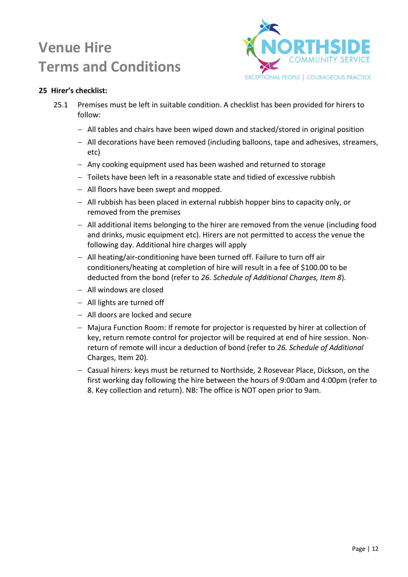

### <span id="page-11-0"></span>**25 Hirer's checklist:**

- 25.1 Premises must be left in suitable condition. A checklist has been provided for hirers to follow:
	- All tables and chairs have been wiped down and stacked/stored in original position
	- All decorations have been removed (including balloons, tape and adhesives, streamers, etc)
	- Any cooking equipment used has been washed and returned to storage
	- $-$  Toilets have been left in a reasonable state and tidied of excessive rubbish
	- All floors have been swept and mopped.
	- All rubbish has been placed in external rubbish hopper bins to capacity only, or removed from the premises
	- $-$  All additional items belonging to the hirer are removed from the venue (including food and drinks, music equipment etc). Hirers are not permitted to access the venue the following day. Additional hire charges will apply
	- $-$  All heating/air-conditioning have been turned off. Failure to turn off air conditioners/heating at completion of hire will result in a fee of \$100.00 to be deducted from the bond (refer to *26. Schedule of Additional Charges, Item 8*).
	- All windows are closed
	- All lights are turned off
	- All doors are locked and secure
	- Majura Function Room: If remote for projector is requested by hirer at collection of key, return remote control for projector will be required at end of hire session. Nonreturn of remote will incur a deduction of bond (refer to *26. Schedule of Additional*  Charges, Item 20).
	- Casual hirers: keys must be returned to Northside, 2 Rosevear Place, Dickson, on the first working day following the hire between the hours of 9:00am and 4:00pm (refer to 8. Key collection and return). NB: The office is NOT open prior to 9am.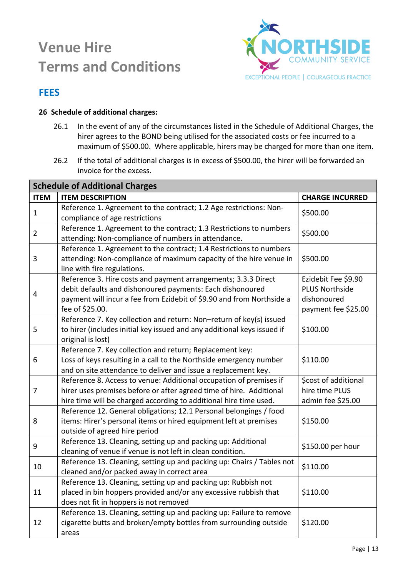

## <span id="page-12-0"></span>**FEES**

### <span id="page-12-1"></span>**26 Schedule of additional charges:**

- 26.1 In the event of any of the circumstances listed in the Schedule of Additional Charges, the hirer agrees to the BOND being utilised for the associated costs or fee incurred to a maximum of \$500.00. Where applicable, hirers may be charged for more than one item.
- 26.2 If the total of additional charges is in excess of \$500.00, the hirer will be forwarded an invoice for the excess.

| <b>Schedule of Additional Charges</b> |                                                                                                                                                                                                                         |                                                                                    |  |  |
|---------------------------------------|-------------------------------------------------------------------------------------------------------------------------------------------------------------------------------------------------------------------------|------------------------------------------------------------------------------------|--|--|
| <b>ITEM</b>                           | <b>ITEM DESCRIPTION</b>                                                                                                                                                                                                 | <b>CHARGE INCURRED</b>                                                             |  |  |
| $\mathbf{1}$                          | Reference 1. Agreement to the contract; 1.2 Age restrictions: Non-<br>compliance of age restrictions                                                                                                                    | \$500.00                                                                           |  |  |
| $\overline{2}$                        | Reference 1. Agreement to the contract; 1.3 Restrictions to numbers<br>attending: Non-compliance of numbers in attendance.                                                                                              | \$500.00                                                                           |  |  |
| 3                                     | Reference 1. Agreement to the contract; 1.4 Restrictions to numbers<br>attending: Non-compliance of maximum capacity of the hire venue in<br>line with fire regulations.                                                | \$500.00                                                                           |  |  |
| 4                                     | Reference 3. Hire costs and payment arrangements; 3.3.3 Direct<br>debit defaults and dishonoured payments: Each dishonoured<br>payment will incur a fee from Ezidebit of \$9.90 and from Northside a<br>fee of \$25.00. | Ezidebit Fee \$9.90<br><b>PLUS Northside</b><br>dishonoured<br>payment fee \$25.00 |  |  |
| 5                                     | Reference 7. Key collection and return: Non-return of key(s) issued<br>to hirer (includes initial key issued and any additional keys issued if<br>original is lost)                                                     | \$100.00                                                                           |  |  |
| 6                                     | Reference 7. Key collection and return; Replacement key:<br>Loss of keys resulting in a call to the Northside emergency number<br>and on site attendance to deliver and issue a replacement key.                        | \$110.00                                                                           |  |  |
| 7                                     | Reference 8. Access to venue: Additional occupation of premises if<br>hirer uses premises before or after agreed time of hire. Additional<br>hire time will be charged according to additional hire time used.          | \$cost of additional<br>hire time PLUS<br>admin fee \$25.00                        |  |  |
| 8                                     | Reference 12. General obligations; 12.1 Personal belongings / food<br>items: Hirer's personal items or hired equipment left at premises<br>outside of agreed hire period                                                | \$150.00                                                                           |  |  |
| 9                                     | Reference 13. Cleaning, setting up and packing up: Additional<br>cleaning of venue if venue is not left in clean condition.                                                                                             | \$150.00 per hour                                                                  |  |  |
| 10                                    | Reference 13. Cleaning, setting up and packing up: Chairs / Tables not<br>cleaned and/or packed away in correct area                                                                                                    | \$110.00                                                                           |  |  |
| 11                                    | Reference 13. Cleaning, setting up and packing up: Rubbish not<br>placed in bin hoppers provided and/or any excessive rubbish that<br>does not fit in hoppers is not removed                                            | \$110.00                                                                           |  |  |
| 12                                    | Reference 13. Cleaning, setting up and packing up: Failure to remove<br>cigarette butts and broken/empty bottles from surrounding outside<br>areas                                                                      | \$120.00                                                                           |  |  |